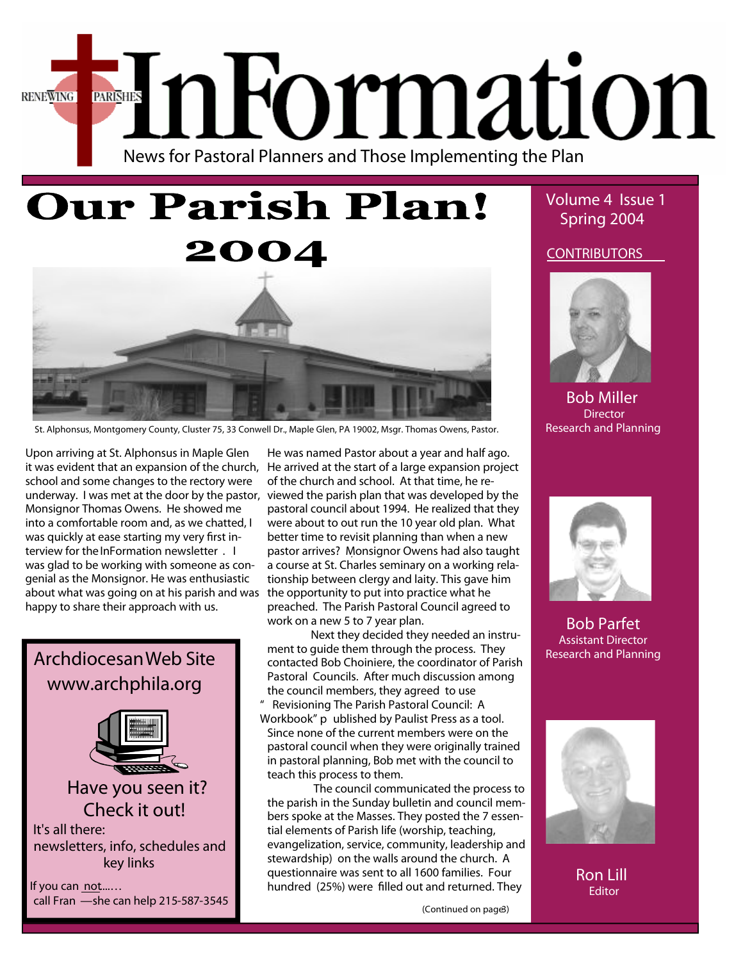



St. Alphonsus, Montgomery County, Cluster 75, 33 Conwell Dr., Maple Glen, PA 19002, Msgr. Thomas Owens, Pastor.

Upon arriving at St. Alphonsus in Maple Glen it was evident that an expansion of the church, school and some changes to the rectory were underway. I was met at the door by the pastor, Monsignor Thomas Owens. He showed me into a comfortable room and, as we chatted, I was quickly at ease starting my very first interview for the**InFormation newsletter** . I was glad to be working with someone as congenial as the Monsignor. He was enthusiastic about what was going on at his parish and was happy to share their approach with us.



He was named Pastor about a year and half ago. He arrived at the start of a large expansion project of the church and school. At that time, he reviewed the parish plan that was developed by the pastoral council about 1994. He realized that they were about to out run the 10 year old plan. What better time to revisit planning than when a new pastor arrives? Monsignor Owens had also taught a course at St. Charles seminary on a working relationship between clergy and laity. This gave him the opportunity to put into practice what he preached. The Parish Pastoral Council agreed to work on a new 5 to 7 year plan.

Next they decided they needed an instrument to guide them through the process. They contacted Bob Choiniere, the coordinator of Parish Pastoral Councils. After much discussion among the council members, they agreed to use

" *Revisioning The Parish Pastoral Council: A Workbook" p* ublished by Paulist Press as a tool. Since none of the current members were on the pastoral council when they were originally trained in pastoral planning, Bob met with the council to teach this process to them.

The council communicated the process to the parish in the Sunday bulletin and council members spoke at the Masses. They posted the 7 essential elements of Parish life (worship, teaching, evangelization, service, community, leadership and stewardship) on the walls around the church. A questionnaire was sent to all 1600 families. Four hundred (25%) were filled out and returned. They

 **Volume 4 Issue 1 Spring 2004**

**CONTRIBUTORS**



**Bob Miller Director Research and Planning**



**Bob Parfet Assistant Director Research and Planning**



**Ron Lill Editor**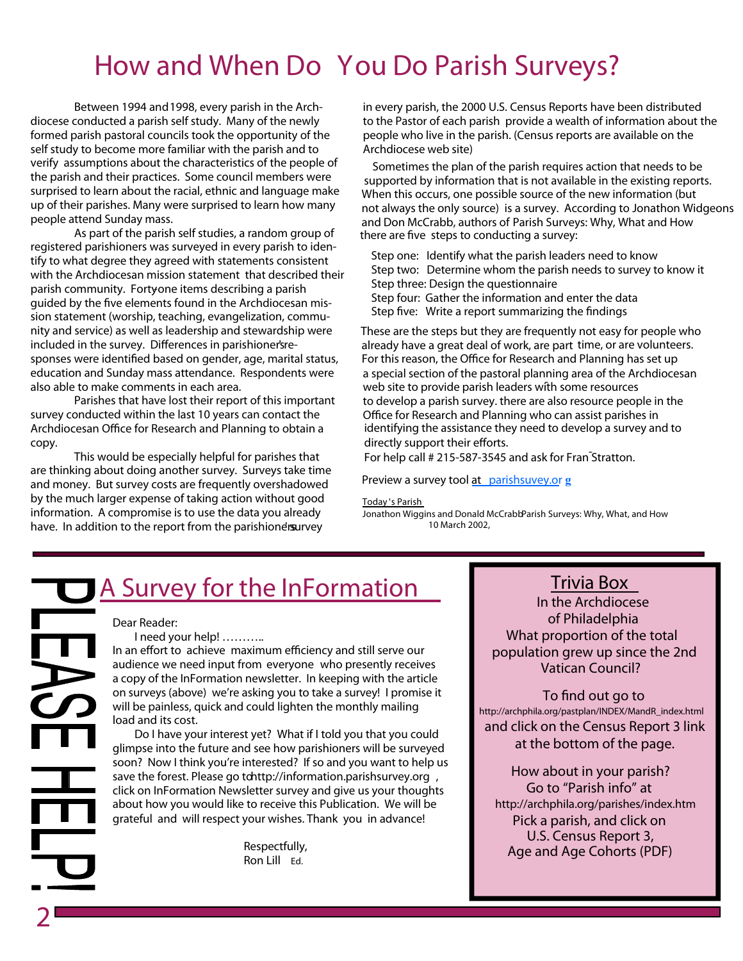# **How and When Do You Do Parish Surveys?**

Between 1994 and 1998, every parish in the Archdiocese conducted a parish self study. Many of the newly formed parish pastoral councils took the opportunity of the self study to become more familiar with the parish and to verify assumptions about the characteristics of the people of the parish and their practices. Some council members were surprised to learn about the racial, ethnic and language make up of their parishes. Many were surprised to learn how many people attend Sunday mass.

As part of the parish self studies, a random group of registered parishioners was surveyed in every parish to identify to what degree they agreed with statements consistent with the Archdiocesan mission statement that described their parish community. Fortyone items describing a parish guided by the five elements found in the Archdiocesan mission statement (worship, teaching, evangelization, community and service) as well as leadership and stewardship were included in the survey. Differences in parishioner'sresponses were identified based on gender, age, marital status, education and Sunday mass attendance. Respondents were also able to make comments in each area.

Parishes that have lost their report of this important survey conducted within the last 10 years can contact the Archdiocesan Office for Research and Planning to obtain a copy.

This would be especially helpful for parishes that are thinking about doing another survey. Surveys take time and money. But survey costs are frequently overshadowed by the much larger expense of taking action without good information. A compromise is to use the data you already have. In addition to the report from the parishionersurvey

in every parish, the 2000 U.S. Census Reports have been distributed to the Pastor of each parish provide a wealth of information about the people who live in the parish. (Census reports are available on the Archdiocese web site)

Sometimes the plan of the parish requires action that needs to be supported by information that is not available in the existing reports. When this occurs, one possible source of the new information (but not always the only source) is a survey. According to Jonathon Widgeons and Don McCrabb, authors of *Parish Surveys: Why, What and How* there are five steps to conducting a survey:

Step one: Identify what the parish leaders need to know Step two: Determine whom the parish needs to survey to know it Step three: Design the questionnaire Step four: Gather the information and enter the data Step five: Write a report summarizing the findings

These are the steps but they are frequently not easy for people who already have a great deal of work, are part time, or are volunteers. - web site to provide parish leaders with some resources For this reason, the Office for Research and Planning has set up a special section of the pastoral planning area of the Archdiocesan to develop a parish survey. there are also resource people in the Office for Research and Planning who can assist parishes in identifying the assistance they need to develop a survey and to directly support their efforts.

For help call # 215-587-3545 and ask for Fran Stratton.

**Preview a survey tool at [parishsuvey.or](www.parishsurvey.org) g**

**Today**'s Parish

Jonathon Wiggins and Donald McCrabb*Parish Surveys: Why, What, and How* 10 March 2002,

# **A Survey for the InFormation**

### **Dear Reader:**

**2**

**I need your help! ………..**

In an effort to achieve maximum efficiency and still serve our audience we need input from everyone who presently receives a copy of the InFormation newsletter. In keeping with the article on surveys (above) we're asking you to take a survey! I promise it will be painless, quick and could lighten the monthly mailing load and its cost.

Do I have your interest yet? What if I told you that you could glimpse into the future and see how parishioners will be surveyed soon? Now I think you're interested? If so and you want to help us save the forest. Please go to**http://information.parishsurvey.org** , click on InFormation Newsletter survey and give us your thoughts about how you would like to receive this Publication. We will be grateful and will respect your wishes. **Thank you in advance!**

> Respectfully, Ron Lill *Ed.*

# **Trivia Box**

**In the Archdiocese of Philadelphia What proportion of the total population grew up since the 2nd Vatican Council?**

## **To** find out go to

**http://archphila.org/pastplan/INDEX/MandR\_index.html and click on the Census Report 3 link at the bottom of the page.**

**How about in your parish? Go to "Parish info" at <http://archphila.org/parishes/index.htm> Pick a parish, and click on U.S. Census Report 3, Age and Age Cohorts (PDF)**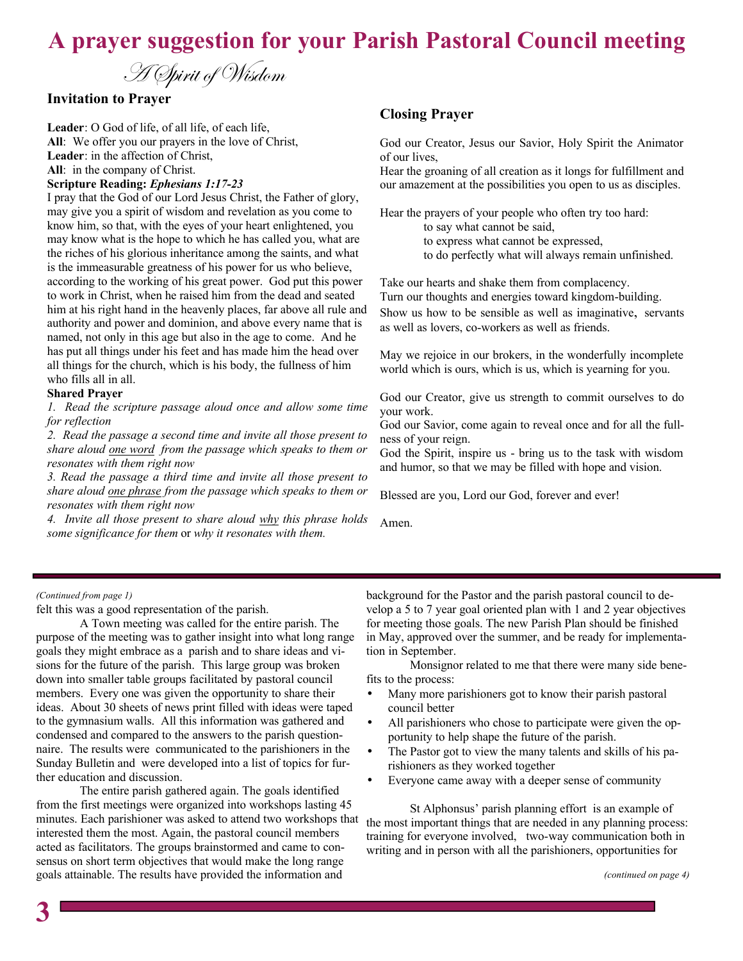# **A prayer suggestion for your Parish Pastoral Council meeting**

A Spirit of Wisdom

# **Invitation to Prayer**

**Leader**: O God of life, of all life, of each life, **All**: We offer you our prayers in the love of Christ, **Leader**: in the affection of Christ, **All**: in the company of Christ.

### **Scripture Reading:** *Ephesians 1:17-23*

I pray that the God of our Lord Jesus Christ, the Father of glory, may give you a spirit of wisdom and revelation as you come to know him, so that, with the eyes of your heart enlightened, you may know what is the hope to which he has called you, what are the riches of his glorious inheritance among the saints, and what is the immeasurable greatness of his power for us who believe, according to the working of his great power. God put this power to work in Christ, when he raised him from the dead and seated him at his right hand in the heavenly places, far above all rule and authority and power and dominion, and above every name that is named, not only in this age but also in the age to come. And he has put all things under his feet and has made him the head over all things for the church, which is his body, the fullness of him who fills all in all.

#### **Shared Prayer**

*1. Read the scripture passage aloud once and allow some time for reflection*

*2. Read the passage a second time and invite all those present to share aloud one word from the passage which speaks to them or resonates with them right now*

*3. Read the passage a third time and invite all those present to share aloud one phrase from the passage which speaks to them or resonates with them right now*

*4. Invite all those present to share aloud why this phrase holds some significance for them* or *why it resonates with them.*

## **Closing Prayer**

God our Creator, Jesus our Savior, Holy Spirit the Animator of our lives,

Hear the groaning of all creation as it longs for fulfillment and our amazement at the possibilities you open to us as disciples.

Hear the prayers of your people who often try too hard: to say what cannot be said, to express what cannot be expressed, to do perfectly what will always remain unfinished.

Take our hearts and shake them from complacency. Turn our thoughts and energies toward kingdom-building. Show us how to be sensible as well as imaginative, servants as well as lovers, co-workers as well as friends.

May we rejoice in our brokers, in the wonderfully incomplete world which is ours, which is us, which is yearning for you.

God our Creator, give us strength to commit ourselves to do your work.

God our Savior, come again to reveal once and for all the fullness of your reign.

God the Spirit, inspire us - bring us to the task with wisdom and humor, so that we may be filled with hope and vision.

Blessed are you, Lord our God, forever and ever!

Amen.

#### *(Continued from page 1)*

felt this was a good representation of the parish.

A Town meeting was called for the entire parish. The purpose of the meeting was to gather insight into what long range goals they might embrace as a parish and to share ideas and visions for the future of the parish. This large group was broken down into smaller table groups facilitated by pastoral council members. Every one was given the opportunity to share their ideas. About 30 sheets of news print filled with ideas were taped to the gymnasium walls. All this information was gathered and condensed and compared to the answers to the parish questionnaire. The results were communicated to the parishioners in the Sunday Bulletin and were developed into a list of topics for further education and discussion.

The entire parish gathered again. The goals identified from the first meetings were organized into workshops lasting 45 minutes. Each parishioner was asked to attend two workshops that interested them the most. Again, the pastoral council members acted as facilitators. The groups brainstormed and came to consensus on short term objectives that would make the long range goals attainable. The results have provided the information and

background for the Pastor and the parish pastoral council to develop a 5 to 7 year goal oriented plan with 1 and 2 year objectives for meeting those goals. The new Parish Plan should be finished in May, approved over the summer, and be ready for implementation in September.

Monsignor related to me that there were many side benefits to the process:

- Many more parishioners got to know their parish pastoral council better
- All parishioners who chose to participate were given the opportunity to help shape the future of the parish.
- The Pastor got to view the many talents and skills of his parishioners as they worked together
- Everyone came away with a deeper sense of community

St Alphonsus' parish planning effort is an example of the most important things that are needed in any planning process: training for everyone involved, two-way communication both in writing and in person with all the parishioners, opportunities for